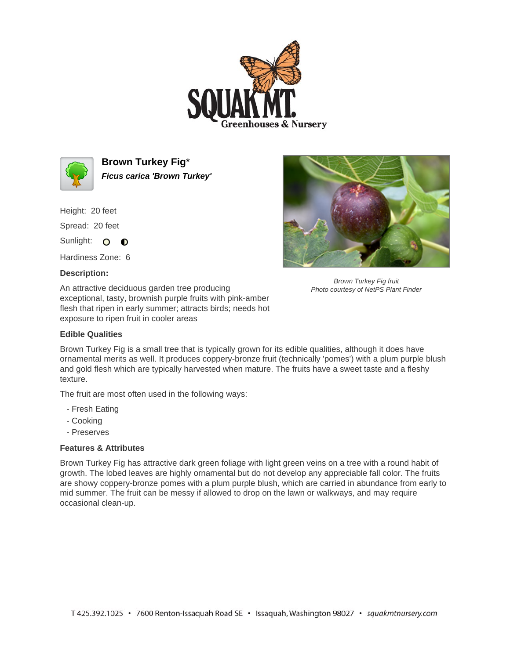



**Brown Turkey Fig**\* **Ficus carica 'Brown Turkey'**

Height: 20 feet Spread: 20 feet

Sunlight: O **O** 

Hardiness Zone: 6

## **Description:**

An attractive deciduous garden tree producing exceptional, tasty, brownish purple fruits with pink-amber flesh that ripen in early summer; attracts birds; needs hot exposure to ripen fruit in cooler areas

## **Edible Qualities**



Brown Turkey Fig fruit Photo courtesy of NetPS Plant Finder

Brown Turkey Fig is a small tree that is typically grown for its edible qualities, although it does have ornamental merits as well. It produces coppery-bronze fruit (technically 'pomes') with a plum purple blush and gold flesh which are typically harvested when mature. The fruits have a sweet taste and a fleshy texture.

The fruit are most often used in the following ways:

- Fresh Eating
- Cooking
- Preserves

## **Features & Attributes**

Brown Turkey Fig has attractive dark green foliage with light green veins on a tree with a round habit of growth. The lobed leaves are highly ornamental but do not develop any appreciable fall color. The fruits are showy coppery-bronze pomes with a plum purple blush, which are carried in abundance from early to mid summer. The fruit can be messy if allowed to drop on the lawn or walkways, and may require occasional clean-up.